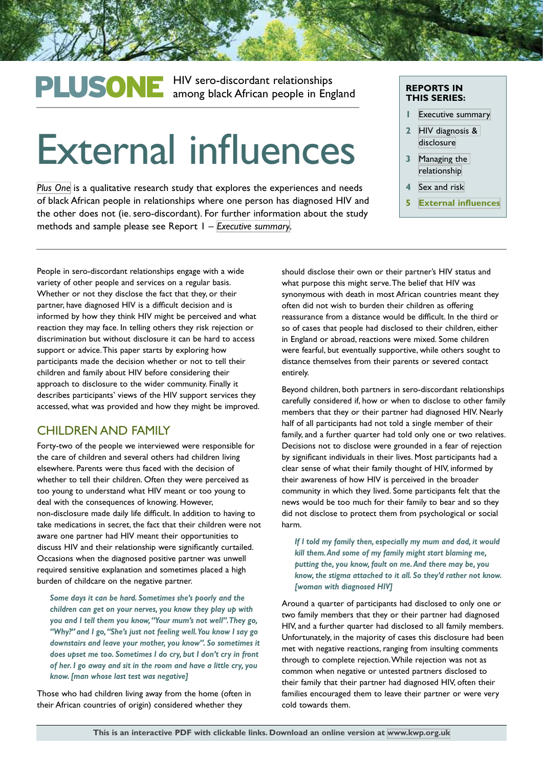## PLUSONE HIV sero-discordant relationships<br>
among black African people in England

# External influences

*[Plus One](http://kwp.org.uk/planning/plusone)* is a qualitative research study that explores the experiences and needs of black African people in relationships where one person has diagnosed HIV and the other does not (ie. sero-discordant). For further information about the study methods and sample please see Report 1 – *[Executive summary](http://kwp.org.uk/files/PlusOne-Executive-Summary.pdf)*.

#### **REPORTS IN THIS SERIES:**

- **1** [Executive summary](http://kwp.org.uk/files/PlusOne-Executive-Summary.pdf)
- **2** [HIV diagnosis &](http://kwp.org.uk/files/PlusOne-HIV-diagnosis-disclusure.pdf)  [disclosure](http://kwp.org.uk/files/PlusOne-HIV-diagnosis-disclusure.pdf)
- **3** [Managing the](http://kwp.org.uk/files/PlusOne-Managing-the-relationship.pdf)  [relationship](http://kwp.org.uk/files/PlusOne-Managing-the-relationship.pdf)
- Sex and risk
- **5 [External influences](http://kwp.org.uk/files/PlusOne-External-influences.pdf)**

People in sero-discordant relationships engage with a wide variety of other people and services on a regular basis. Whether or not they disclose the fact that they, or their partner, have diagnosed HIV is a difficult decision and is informed by how they think HIV might be perceived and what reaction they may face. In telling others they risk rejection or discrimination but without disclosure it can be hard to access support or advice. This paper starts by exploring how participants made the decision whether or not to tell their children and family about HIV before considering their approach to disclosure to the wider community. Finally it describes participants' views of the HIV support services they accessed, what was provided and how they might be improved.

### CHILDREN AND FAMILY

Forty-two of the people we interviewed were responsible for the care of children and several others had children living elsewhere. Parents were thus faced with the decision of whether to tell their children. Often they were perceived as too young to understand what HIV meant or too young to deal with the consequences of knowing. However, non-disclosure made daily life difficult. In addition to having to take medications in secret, the fact that their children were not aware one partner had HIV meant their opportunities to discuss HIV and their relationship were significantly curtailed. Occasions when the diagnosed positive partner was unwell required sensitive explanation and sometimes placed a high burden of childcare on the negative partner.

*Some days it can be hard. Sometimes she's poorly and the children can get on your nerves, you know they play up with you and I tell them you know, "Your mum's not well". They go, "Why?" and I go, "She's just not feeling well. You know I say go downstairs and leave your mother, you know". So sometimes it does upset me too. Sometimes I do cry, but I don't cry in front of her. I go away and sit in the room and have a little cry, you know. [man whose last test was negative]*

Those who had children living away from the home (often in their African countries of origin) considered whether they

should disclose their own or their partner's HIV status and what purpose this might serve. The belief that HIV was synonymous with death in most African countries meant they often did not wish to burden their children as offering reassurance from a distance would be difficult. In the third or so of cases that people had disclosed to their children, either in England or abroad, reactions were mixed. Some children were fearful, but eventually supportive, while others sought to distance themselves from their parents or severed contact entirely.

Beyond children, both partners in sero-discordant relationships carefully considered if, how or when to disclose to other family members that they or their partner had diagnosed HIV. Nearly half of all participants had not told a single member of their family, and a further quarter had told only one or two relatives. Decisions not to disclose were grounded in a fear of rejection by significant individuals in their lives. Most participants had a clear sense of what their family thought of HIV, informed by their awareness of how HIV is perceived in the broader community in which they lived. Some participants felt that the news would be too much for their family to bear and so they did not disclose to protect them from psychological or social harm.

*If I told my family then, especially my mum and dad, it would kill them. And some of my family might start blaming me, putting the, you know, fault on me. And there may be, you know, the stigma attached to it all. So they'd rather not know. [woman with diagnosed HIV]*

Around a quarter of participants had disclosed to only one or two family members that they or their partner had diagnosed HIV, and a further quarter had disclosed to all family members. Unfortunately, in the majority of cases this disclosure had been met with negative reactions, ranging from insulting comments through to complete rejection. While rejection was not as common when negative or untested partners disclosed to their family that their partner had diagnosed HIV, often their families encouraged them to leave their partner or were very cold towards them.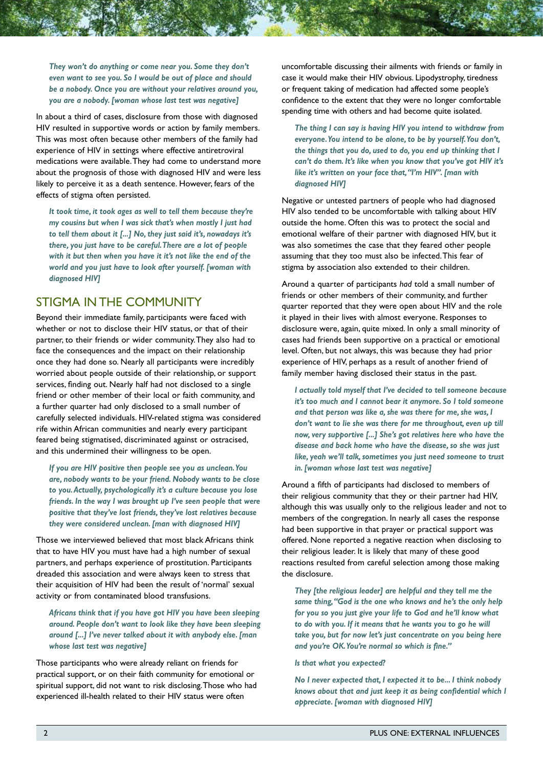*They won't do anything or come near you. Some they don't even want to see you. So I would be out of place and should be a nobody. Once you are without your relatives around you, you are a nobody. [woman whose last test was negative]*

In about a third of cases, disclosure from those with diagnosed HIV resulted in supportive words or action by family members. This was most often because other members of the family had experience of HIV in settings where effective antiretroviral medications were available. They had come to understand more about the prognosis of those with diagnosed HIV and were less likely to perceive it as a death sentence. However, fears of the effects of stigma often persisted.

*It took time, it took ages as well to tell them because they're my cousins but when I was sick that's when mostly I just had to tell them about it [...] No, they just said it's, nowadays it's there, you just have to be careful. There are a lot of people with it but then when you have it it's not like the end of the world and you just have to look after yourself. [woman with diagnosed HIV]*

#### STIGMA IN THE COMMUNITY

Beyond their immediate family, participants were faced with whether or not to disclose their HIV status, or that of their partner, to their friends or wider community. They also had to face the consequences and the impact on their relationship once they had done so. Nearly all participants were incredibly worried about people outside of their relationship, or support services, finding out. Nearly half had not disclosed to a single friend or other member of their local or faith community, and a further quarter had only disclosed to a small number of carefully selected individuals. HIV-related stigma was considered rife within African communities and nearly every participant feared being stigmatised, discriminated against or ostracised, and this undermined their willingness to be open.

*If you are HIV positive then people see you as unclean. You are, nobody wants to be your friend. Nobody wants to be close to you. Actually, psychologically it's a culture because you lose friends. In the way I was brought up I've seen people that were positive that they've lost friends, they've lost relatives because they were considered unclean. [man with diagnosed HIV]*

Those we interviewed believed that most black Africans think that to have HIV you must have had a high number of sexual partners, and perhaps experience of prostitution. Participants dreaded this association and were always keen to stress that their acquisition of HIV had been the result of 'normal' sexual activity or from contaminated blood transfusions.

*Africans think that if you have got HIV you have been sleeping around. People don't want to look like they have been sleeping around [...] I've never talked about it with anybody else. [man whose last test was negative]*

Those participants who were already reliant on friends for practical support, or on their faith community for emotional or spiritual support, did not want to risk disclosing. Those who had experienced ill-health related to their HIV status were often

uncomfortable discussing their ailments with friends or family in case it would make their HIV obvious. Lipodystrophy, tiredness or frequent taking of medication had affected some people's confidence to the extent that they were no longer comfortable spending time with others and had become quite isolated.

*The thing I can say is having HIV you intend to withdraw from everyone. You intend to be alone, to be by yourself. You don't, the things that you do, used to do, you end up thinking that I can't do them. It's like when you know that you've got HIV it's like it's written on your face that, "I'm HIV". [man with diagnosed HIV]*

Negative or untested partners of people who had diagnosed HIV also tended to be uncomfortable with talking about HIV outside the home. Often this was to protect the social and emotional welfare of their partner with diagnosed HIV, but it was also sometimes the case that they feared other people assuming that they too must also be infected. This fear of stigma by association also extended to their children.

Around a quarter of participants *had* told a small number of friends or other members of their community, and further quarter reported that they were open about HIV and the role it played in their lives with almost everyone. Responses to disclosure were, again, quite mixed. In only a small minority of cases had friends been supportive on a practical or emotional level. Often, but not always, this was because they had prior experience of HIV, perhaps as a result of another friend of family member having disclosed their status in the past.

*I actually told myself that I've decided to tell someone because it's too much and I cannot bear it anymore. So I told someone and that person was like a, she was there for me, she was, I don't want to lie she was there for me throughout, even up till now, very supportive [...] She's got relatives here who have the disease and back home who have the disease, so she was just like, yeah we'll talk, sometimes you just need someone to trust in. [woman whose last test was negative]*

Around a fifth of participants had disclosed to members of their religious community that they or their partner had HIV, although this was usually only to the religious leader and not to members of the congregation. In nearly all cases the response had been supportive in that prayer or practical support was offered. None reported a negative reaction when disclosing to their religious leader. It is likely that many of these good reactions resulted from careful selection among those making the disclosure.

*They [the religious leader] are helpful and they tell me the same thing, "God is the one who knows and he's the only help for you so you just give your life to God and he'll know what to do with you. If it means that he wants you to go he will take you, but for now let's just concentrate on you being here and you're OK. You're normal so which is fine."*

*Is that what you expected?*

*No I never expected that, I expected it to be... I think nobody knows about that and just keep it as being confidential which I appreciate. [woman with diagnosed HIV]*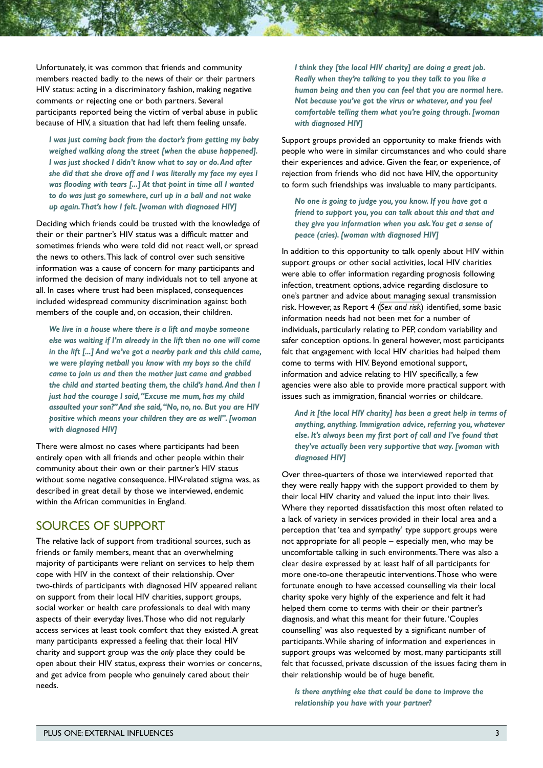Unfortunately, it was common that friends and community members reacted badly to the news of their or their partners HIV status: acting in a discriminatory fashion, making negative comments or rejecting one or both partners. Several participants reported being the victim of verbal abuse in public because of HIV, a situation that had left them feeling unsafe.

*I was just coming back from the doctor's from getting my baby weighed walking along the street [when the abuse happened]. I was just shocked I didn't know what to say or do. And after she did that she drove off and I was literally my face my eyes I was flooding with tears [...] At that point in time all I wanted to do was just go somewhere, curl up in a ball and not wake up again. That's how I felt. [woman with diagnosed HIV]*

Deciding which friends could be trusted with the knowledge of their or their partner's HIV status was a difficult matter and sometimes friends who were told did not react well, or spread the news to others. This lack of control over such sensitive information was a cause of concern for many participants and informed the decision of many individuals not to tell anyone at all. In cases where trust had been misplaced, consequences included widespread community discrimination against both members of the couple and, on occasion, their children.

*We live in a house where there is a lift and maybe someone else was waiting if I'm already in the lift then no one will come in the lift [...] And we've got a nearby park and this child came, we were playing netball you know with my boys so the child came to join us and then the mother just came and grabbed the child and started beating them, the child's hand. And then I just had the courage I said, "Excuse me mum, has my child assaulted your son?" And she said, "No, no, no. But you are HIV positive which means your children they are as well". [woman with diagnosed HIV]*

There were almost no cases where participants had been entirely open with all friends and other people within their community about their own or their partner's HIV status without some negative consequence. HIV-related stigma was, as described in great detail by those we interviewed, endemic within the African communities in England.

#### SOURCES OF SUPPORT

The relative lack of support from traditional sources, such as friends or family members, meant that an overwhelming majority of participants were reliant on services to help them cope with HIV in the context of their relationship. Over two-thirds of participants with diagnosed HIV appeared reliant on support from their local HIV charities, support groups, social worker or health care professionals to deal with many aspects of their everyday lives. Those who did not regularly access services at least took comfort that they existed. A great many participants expressed a feeling that their local HIV charity and support group was the *only* place they could be open about their HIV status, express their worries or concerns, and get advice from people who genuinely cared about their needs.

*I think they [the local HIV charity] are doing a great job. Really when they're talking to you they talk to you like a human being and then you can feel that you are normal here. Not because you've got the virus or whatever, and you feel comfortable telling them what you're going through. [woman with diagnosed HIV]*

Support groups provided an opportunity to make friends with people who were in similar circumstances and who could share their experiences and advice. Given the fear, or experience, of rejection from friends who did not have HIV, the opportunity to form such friendships was invaluable to many participants.

*No one is going to judge you, you know. If you have got a friend to support you, you can talk about this and that and they give you information when you ask. You get a sense of peace (cries). [woman with diagnosed HIV]*

In addition to this opportunity to talk openly about HIV within support groups or other social activities, local HIV charities were able to offer information regarding prognosis following infection, treatment options, advice regarding disclosure to one's partner and advice about managing sexual transmission risk. However, as Report 4 (*[Sex and risk](http://kwp.org.uk/files/PlusOne-Sex-and-risk.pdf)*) identified, some basic information needs had not been met for a number of individuals, particularly relating to PEP, condom variability and safer conception options. In general however, most participants felt that engagement with local HIV charities had helped them come to terms with HIV. Beyond emotional support, information and advice relating to HIV specifically, a few agencies were also able to provide more practical support with issues such as immigration, financial worries or childcare.

*And it [the local HIV charity] has been a great help in terms of anything, anything. Immigration advice, referring you, whatever else. It's always been my first port of call and I've found that they've actually been very supportive that way. [woman with diagnosed HIV]*

Over three-quarters of those we interviewed reported that they were really happy with the support provided to them by their local HIV charity and valued the input into their lives. Where they reported dissatisfaction this most often related to a lack of variety in services provided in their local area and a perception that 'tea and sympathy' type support groups were not appropriate for all people – especially men, who may be uncomfortable talking in such environments. There was also a clear desire expressed by at least half of all participants for more one-to-one therapeutic interventions. Those who were fortunate enough to have accessed counselling via their local charity spoke very highly of the experience and felt it had helped them come to terms with their or their partner's diagnosis, and what this meant for their future. 'Couples counselling' was also requested by a significant number of participants. While sharing of information and experiences in support groups was welcomed by most, many participants still felt that focussed, private discussion of the issues facing them in their relationship would be of huge benefit.

*Is there anything else that could be done to improve the relationship you have with your partner?*